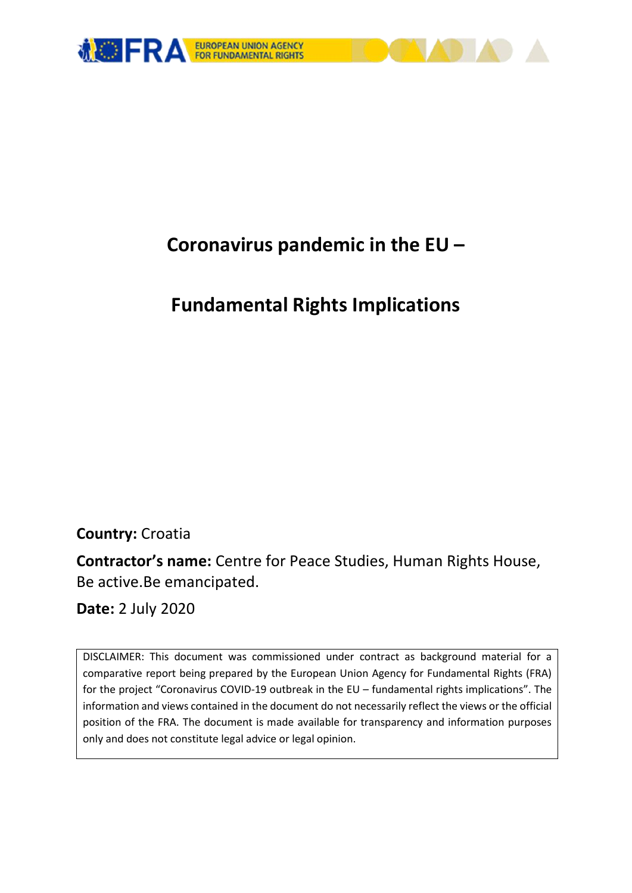

# **Coronavirus pandemic in the EU –**

# **Fundamental Rights Implications**

**Country:** Croatia

**Contractor's name:** Centre for Peace Studies, Human Rights House, Be active.Be emancipated.

**Date:** 2 July 2020

DISCLAIMER: This document was commissioned under contract as background material for a comparative report being prepared by the European Union Agency for Fundamental Rights (FRA) for the project "Coronavirus COVID-19 outbreak in the EU – fundamental rights implications". The information and views contained in the document do not necessarily reflect the views or the official position of the FRA. The document is made available for transparency and information purposes only and does not constitute legal advice or legal opinion.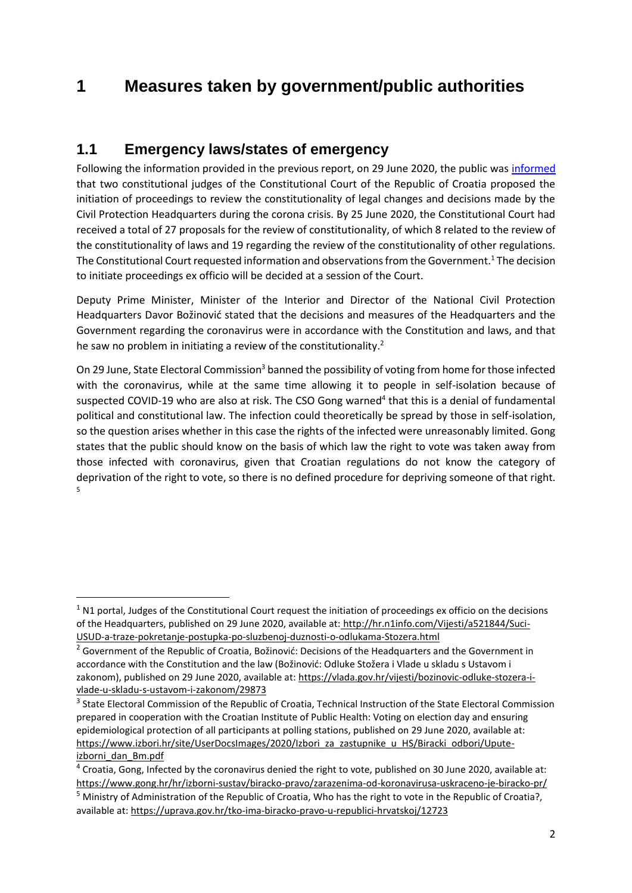# **1 Measures taken by government/public authorities**

## **1.1 Emergency laws/states of emergency**

Following the information provided in the previous report, on 29 June 2020, the public was [informed](http://hr.n1info.com/Vijesti/a521844/Suci-USUD-a-traze-pokretanje-postupka-po-sluzbenoj-duznosti-o-odlukama-Stozera.html) that two constitutional judges of the Constitutional Court of the Republic of Croatia proposed the initiation of proceedings to review the constitutionality of legal changes and decisions made by the Civil Protection Headquarters during the corona crisis. By 25 June 2020, the Constitutional Court had received a total of 27 proposals for the review of constitutionality, of which 8 related to the review of the constitutionality of laws and 19 regarding the review of the constitutionality of other regulations. The Constitutional Court requested information and observations from the Government.<sup>1</sup> The decision to initiate proceedings ex officio will be decided at a session of the Court.

Deputy Prime Minister, Minister of the Interior and Director of the National Civil Protection Headquarters Davor Božinović stated that the decisions and measures of the Headquarters and the Government regarding the coronavirus were in accordance with the Constitution and laws, and that he saw no problem in initiating a review of the constitutionality. $2$ 

On 29 June, State Electoral Commission<sup>3</sup> banned the possibility of voting from home for those infected with the coronavirus, while at the same time allowing it to people in self-isolation because of suspected COVID-19 who are also at risk. The CSO Gong warned<sup>4</sup> that this is a denial of fundamental political and constitutional law. The infection could theoretically be spread by those in self-isolation, so the question arises whether in this case the rights of the infected were unreasonably limited. Gong states that the public should know on the basis of which law the right to vote was taken away from those infected with coronavirus, given that Croatian regulations do not know the category of deprivation of the right to vote, so there is no defined procedure for depriving someone of that right. 5

1

 $1$  N1 portal, Judges of the Constitutional Court request the initiation of proceedings ex officio on the decisions of the Headquarters, published on 29 June 2020, available at: [http://hr.n1info.com/Vijesti/a521844/Suci-](http://hr.n1info.com/Vijesti/a521844/Suci-USUD-a-traze-pokretanje-postupka-po-sluzbenoj-duznosti-o-odlukama-Stozera.html)[USUD-a-traze-pokretanje-postupka-po-sluzbenoj-duznosti-o-odlukama-Stozera.html](http://hr.n1info.com/Vijesti/a521844/Suci-USUD-a-traze-pokretanje-postupka-po-sluzbenoj-duznosti-o-odlukama-Stozera.html)

<sup>&</sup>lt;sup>2</sup> Government of the Republic of Croatia, Božinović: Decisions of the Headquarters and the Government in accordance with the Constitution and the law (Božinović: Odluke Stožera i Vlade u skladu s Ustavom i zakonom), published on 29 June 2020, available at: [https://vlada.gov.hr/vijesti/bozinovic-odluke-stozera-i](https://vlada.gov.hr/vijesti/bozinovic-odluke-stozera-i-vlade-u-skladu-s-ustavom-i-zakonom/29873)[vlade-u-skladu-s-ustavom-i-zakonom/29873](https://vlada.gov.hr/vijesti/bozinovic-odluke-stozera-i-vlade-u-skladu-s-ustavom-i-zakonom/29873)

<sup>&</sup>lt;sup>3</sup> State Electoral Commission of the Republic of Croatia, Technical Instruction of the State Electoral Commission prepared in cooperation with the Croatian Institute of Public Health: Voting on election day and ensuring epidemiological protection of all participants at polling stations, published on 29 June 2020, available at: [https://www.izbori.hr/site/UserDocsImages/2020/Izbori\\_za\\_zastupnike\\_u\\_HS/Biracki\\_odbori/Upute](https://www.izbori.hr/site/UserDocsImages/2020/Izbori_za_zastupnike_u_HS/Biracki_odbori/Upute-izborni_dan_Bm.pdf)[izborni\\_dan\\_Bm.pdf](https://www.izbori.hr/site/UserDocsImages/2020/Izbori_za_zastupnike_u_HS/Biracki_odbori/Upute-izborni_dan_Bm.pdf)

 $4$  Croatia, Gong, Infected by the coronavirus denied the right to vote, published on 30 June 2020, available at: <https://www.gong.hr/hr/izborni-sustav/biracko-pravo/zarazenima-od-koronavirusa-uskraceno-je-biracko-pr/> <sup>5</sup> Ministry of Administration of the Republic of Croatia, Who has the right to vote in the Republic of Croatia?,

available at:<https://uprava.gov.hr/tko-ima-biracko-pravo-u-republici-hrvatskoj/12723>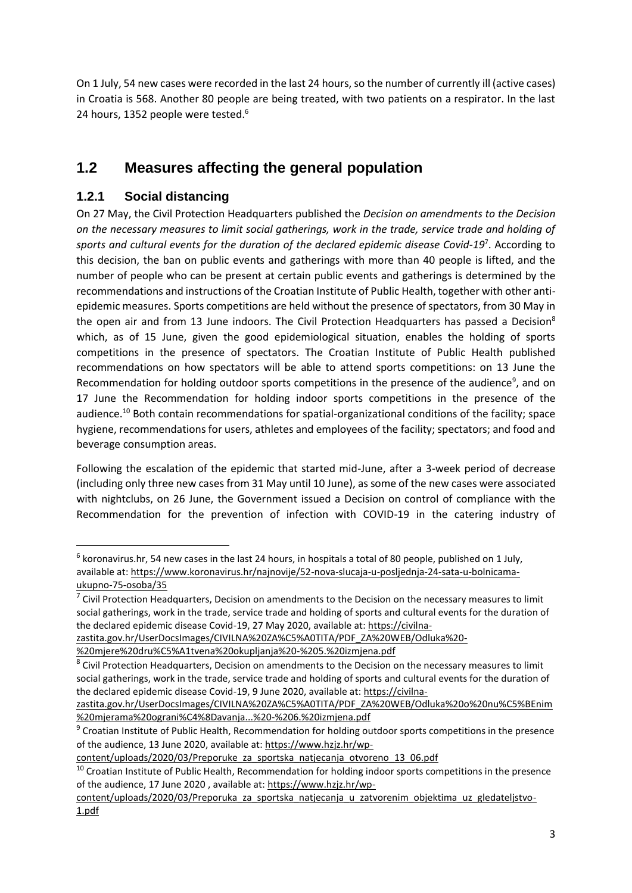On 1 July, 54 new cases were recorded in the last 24 hours, so the number of currently ill (active cases) in Croatia is 568. Another 80 people are being treated, with two patients on a respirator. In the last 24 hours, 1352 people were tested.<sup>6</sup>

# **1.2 Measures affecting the general population**

#### **1.2.1 Social distancing**

**.** 

On 27 May, the Civil Protection Headquarters published the *Decision on amendments to the Decision on the necessary measures to limit social gatherings, work in the trade, service trade and holding of sports and cultural events for the duration of the declared epidemic disease Covid-19*<sup>7</sup> . According to this decision, the ban on public events and gatherings with more than 40 people is lifted, and the number of people who can be present at certain public events and gatherings is determined by the recommendations and instructions of the Croatian Institute of Public Health, together with other antiepidemic measures. Sports competitions are held without the presence of spectators, from 30 May in the open air and from 13 June indoors. The Civil Protection Headquarters has passed a Decision<sup>8</sup> which, as of 15 June, given the good epidemiological situation, enables the holding of sports competitions in the presence of spectators. The Croatian Institute of Public Health published recommendations on how spectators will be able to attend sports competitions: on 13 June the Recommendation for holding outdoor sports competitions in the presence of the audience<sup>9</sup>, and on 17 June the Recommendation for holding indoor sports competitions in the presence of the audience.<sup>10</sup> Both contain recommendations for spatial-organizational conditions of the facility; space hygiene, recommendations for users, athletes and employees of the facility; spectators; and food and beverage consumption areas.

Following the escalation of the epidemic that started mid-June, after a 3-week period of decrease (including only three new cases from 31 May until 10 June), as some of the new cases were associated with nightclubs, on 26 June, the Government issued a Decision on control of compliance with the Recommendation for the prevention of infection with COVID-19 in the catering industry of

 $<sup>6</sup>$  koronavirus.hr, 54 new cases in the last 24 hours, in hospitals a total of 80 people, published on 1 July,</sup> available at: [https://www.koronavirus.hr/najnovije/52-nova-slucaja-u-posljednja-24-sata-u-bolnicama](https://www.koronavirus.hr/najnovije/52-nova-slucaja-u-posljednja-24-sata-u-bolnicama-ukupno-75-osoba/35)[ukupno-75-osoba/35](https://www.koronavirus.hr/najnovije/52-nova-slucaja-u-posljednja-24-sata-u-bolnicama-ukupno-75-osoba/35)

 $<sup>7</sup>$  Civil Protection Headquarters, Decision on amendments to the Decision on the necessary measures to limit</sup> social gatherings, work in the trade, service trade and holding of sports and cultural events for the duration of the declared epidemic disease Covid-19, 27 May 2020, available at: [https://civilna-](https://civilna-zastita.gov.hr/UserDocsImages/CIVILNA%20ZA%C5%A0TITA/PDF_ZA%20WEB/Odluka%20-%20mjere%20dru%C5%A1tvena%20okupljanja%20-%205.%20izmjena.pdf)

[zastita.gov.hr/UserDocsImages/CIVILNA%20ZA%C5%A0TITA/PDF\\_ZA%20WEB/Odluka%20-](https://civilna-zastita.gov.hr/UserDocsImages/CIVILNA%20ZA%C5%A0TITA/PDF_ZA%20WEB/Odluka%20-%20mjere%20dru%C5%A1tvena%20okupljanja%20-%205.%20izmjena.pdf)

[<sup>%20</sup>mjere%20dru%C5%A1tvena%20okupljanja%20-%205.%20izmjena.pdf](https://civilna-zastita.gov.hr/UserDocsImages/CIVILNA%20ZA%C5%A0TITA/PDF_ZA%20WEB/Odluka%20-%20mjere%20dru%C5%A1tvena%20okupljanja%20-%205.%20izmjena.pdf)

<sup>&</sup>lt;sup>8</sup> Civil Protection Headquarters, Decision on amendments to the Decision on the necessary measures to limit social gatherings, work in the trade, service trade and holding of sports and cultural events for the duration of the declared epidemic disease Covid-19, 9 June 2020, available at[: https://civilna-](https://civilna-zastita.gov.hr/UserDocsImages/CIVILNA%20ZA%C5%A0TITA/PDF_ZA%20WEB/Odluka%20o%20nu%C5%BEnim%20mjerama%20ograni%C4%8Davanja...%20-%206.%20izmjena.pdf)

[zastita.gov.hr/UserDocsImages/CIVILNA%20ZA%C5%A0TITA/PDF\\_ZA%20WEB/Odluka%20o%20nu%C5%BEnim](https://civilna-zastita.gov.hr/UserDocsImages/CIVILNA%20ZA%C5%A0TITA/PDF_ZA%20WEB/Odluka%20o%20nu%C5%BEnim%20mjerama%20ograni%C4%8Davanja...%20-%206.%20izmjena.pdf) [%20mjerama%20ograni%C4%8Davanja...%20-%206.%20izmjena.pdf](https://civilna-zastita.gov.hr/UserDocsImages/CIVILNA%20ZA%C5%A0TITA/PDF_ZA%20WEB/Odluka%20o%20nu%C5%BEnim%20mjerama%20ograni%C4%8Davanja...%20-%206.%20izmjena.pdf)

<sup>9</sup> Croatian Institute of Public Health, Recommendation for holding outdoor sports competitions in the presence of the audience, 13 June 2020, available at: [https://www.hzjz.hr/wp-](https://www.hzjz.hr/wp-content/uploads/2020/03/Preporuke_za_sportska_natjecanja_otvoreno_13_06.pdf)

[content/uploads/2020/03/Preporuke\\_za\\_sportska\\_natjecanja\\_otvoreno\\_13\\_06.pdf](https://www.hzjz.hr/wp-content/uploads/2020/03/Preporuke_za_sportska_natjecanja_otvoreno_13_06.pdf)

 $10$  Croatian Institute of Public Health, Recommendation for holding indoor sports competitions in the presence of the audience, 17 June 2020 , available at: [https://www.hzjz.hr/wp-](https://www.hzjz.hr/wp-content/uploads/2020/03/Preporuka_za_sportska_natjecanja_u_zatvorenim_objektima_uz_gledateljstvo-1.pdf)

content/uploads/2020/03/Preporuka za sportska natjecanja u zatvorenim objektima uz gledateljstvo-[1.pdf](https://www.hzjz.hr/wp-content/uploads/2020/03/Preporuka_za_sportska_natjecanja_u_zatvorenim_objektima_uz_gledateljstvo-1.pdf)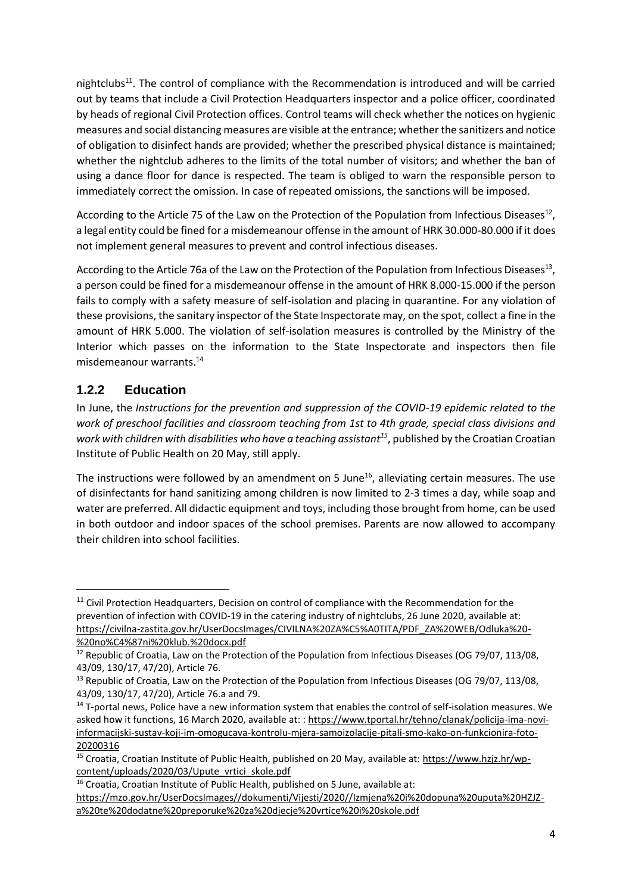nightclubs<sup>11</sup>. The control of compliance with the Recommendation is introduced and will be carried out by teams that include a Civil Protection Headquarters inspector and a police officer, coordinated by heads of regional Civil Protection offices. Control teams will check whether the notices on hygienic measures and social distancing measures are visible at the entrance; whether the sanitizers and notice of obligation to disinfect hands are provided; whether the prescribed physical distance is maintained; whether the nightclub adheres to the limits of the total number of visitors; and whether the ban of using a dance floor for dance is respected. The team is obliged to warn the responsible person to immediately correct the omission. In case of repeated omissions, the sanctions will be imposed.

According to the Article 75 of the Law on the Protection of the Population from Infectious Diseases<sup>12</sup>, a legal entity could be fined for a misdemeanour offense in the amount of HRK 30.000-80.000 if it does not implement general measures to prevent and control infectious diseases.

According to the Article 76a of the Law on the Protection of the Population from Infectious Diseases<sup>13</sup>, a person could be fined for a misdemeanour offense in the amount of HRK 8.000-15.000 if the person fails to comply with a safety measure of self-isolation and placing in quarantine. For any violation of these provisions, the sanitary inspector of the State Inspectorate may, on the spot, collect a fine in the amount of HRK 5.000. The violation of self-isolation measures is controlled by the Ministry of the Interior which passes on the information to the State Inspectorate and inspectors then file misdemeanour warrants.<sup>14</sup>

#### **1.2.2 Education**

**.** 

In June, the *Instructions for the prevention and suppression of the COVID-19 epidemic related to the work of preschool facilities and classroom teaching from 1st to 4th grade, special class divisions and work with children with disabilities who have a teaching assistant<sup>15</sup>*, published by the Croatian Croatian Institute of Public Health on 20 May, still apply.

The instructions were followed by an amendment on 5 June<sup>16</sup>, alleviating certain measures. The use of disinfectants for hand sanitizing among children is now limited to 2-3 times a day, while soap and water are preferred. All didactic equipment and toys, including those brought from home, can be used in both outdoor and indoor spaces of the school premises. Parents are now allowed to accompany their children into school facilities.

<sup>&</sup>lt;sup>11</sup> Civil Protection Headquarters, Decision on control of compliance with the Recommendation for the prevention of infection with COVID-19 in the catering industry of nightclubs, 26 June 2020, available at: [https://civilna-zastita.gov.hr/UserDocsImages/CIVILNA%20ZA%C5%A0TITA/PDF\\_ZA%20WEB/Odluka%20-](https://civilna-zastita.gov.hr/UserDocsImages/CIVILNA%20ZA%C5%A0TITA/PDF_ZA%20WEB/Odluka%20-%20no%C4%87ni%20klub.%20docx.pdf) [%20no%C4%87ni%20klub.%20docx.pdf](https://civilna-zastita.gov.hr/UserDocsImages/CIVILNA%20ZA%C5%A0TITA/PDF_ZA%20WEB/Odluka%20-%20no%C4%87ni%20klub.%20docx.pdf)

<sup>&</sup>lt;sup>12</sup> Republic of Croatia, Law on the Protection of the Population from Infectious Diseases (OG 79/07, 113/08, 43/09, 130/17, 47/20), Article 76.

<sup>&</sup>lt;sup>13</sup> Republic of Croatia, Law on the Protection of the Population from Infectious Diseases (OG 79/07, 113/08, 43/09, 130/17, 47/20), Article 76.a and 79.

<sup>&</sup>lt;sup>14</sup> T-portal news, Police have a new information system that enables the control of self-isolation measures. We asked how it functions, 16 March 2020, available at: : [https://www.tportal.hr/tehno/clanak/policija-ima-novi](https://www.tportal.hr/tehno/clanak/policija-ima-novi-informacijski-sustav-koji-im-omogucava-kontrolu-mjera-samoizolacije-pitali-smo-kako-on-funkcionira-foto-20200316)[informacijski-sustav-koji-im-omogucava-kontrolu-mjera-samoizolacije-pitali-smo-kako-on-funkcionira-foto-](https://www.tportal.hr/tehno/clanak/policija-ima-novi-informacijski-sustav-koji-im-omogucava-kontrolu-mjera-samoizolacije-pitali-smo-kako-on-funkcionira-foto-20200316)[20200316](https://www.tportal.hr/tehno/clanak/policija-ima-novi-informacijski-sustav-koji-im-omogucava-kontrolu-mjera-samoizolacije-pitali-smo-kako-on-funkcionira-foto-20200316) 

<sup>15</sup> Croatia, Croatian Institute of Public Health, published on 20 May, available at: [https://www.hzjz.hr/wp](https://www.hzjz.hr/wp-content/uploads/2020/03/Upute_vrtici_skole.pdf)[content/uploads/2020/03/Upute\\_vrtici\\_skole.pdf](https://www.hzjz.hr/wp-content/uploads/2020/03/Upute_vrtici_skole.pdf)

<sup>16</sup> Croatia, Croatian Institute of Public Health, published on 5 June, available at: [https://mzo.gov.hr/UserDocsImages//dokumenti/Vijesti/2020//Izmjena%20i%20dopuna%20uputa%20HZJZ](https://mzo.gov.hr/UserDocsImages/dokumenti/Vijesti/2020/Izmjena%20i%20dopuna%20uputa%20HZJZ-a%20te%20dodatne%20preporuke%20za%20djecje%20vrtice%20i%20skole.pdf)[a%20te%20dodatne%20preporuke%20za%20djecje%20vrtice%20i%20skole.pdf](https://mzo.gov.hr/UserDocsImages/dokumenti/Vijesti/2020/Izmjena%20i%20dopuna%20uputa%20HZJZ-a%20te%20dodatne%20preporuke%20za%20djecje%20vrtice%20i%20skole.pdf)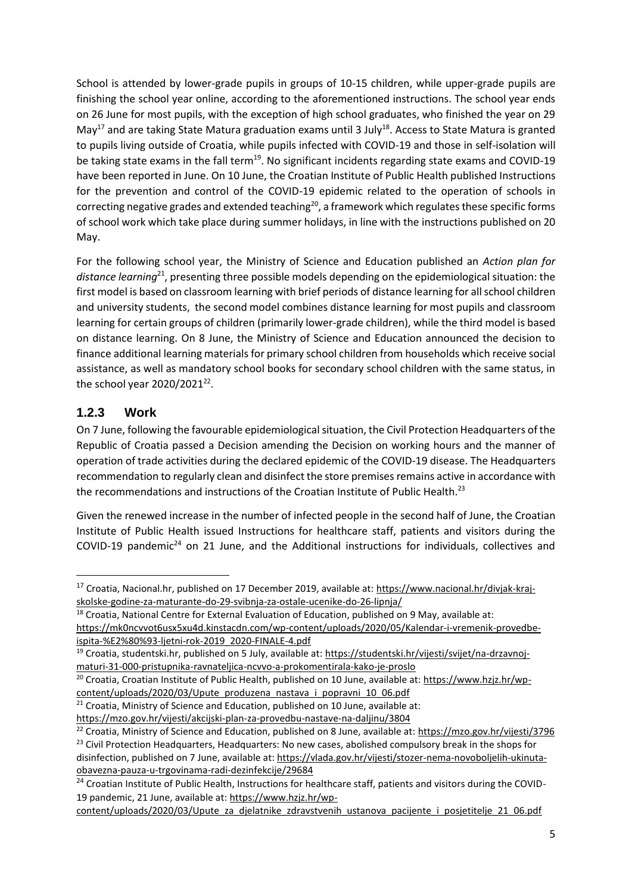School is attended by lower-grade pupils in groups of 10-15 children, while upper-grade pupils are finishing the school year online, according to the aforementioned instructions. The school year ends on 26 June for most pupils, with the exception of high school graduates, who finished the year on 29 May<sup>17</sup> and are taking State Matura graduation exams until 3 July<sup>18</sup>. Access to State Matura is granted to pupils living outside of Croatia, while pupils infected with COVID-19 and those in self-isolation will be taking state exams in the fall term<sup>19</sup>. No significant incidents regarding state exams and COVID-19 have been reported in June. On 10 June, the Croatian Institute of Public Health published Instructions for the prevention and control of the COVID-19 epidemic related to the operation of schools in correcting negative grades and extended teaching<sup>20</sup>, a framework which regulates these specific forms of school work which take place during summer holidays, in line with the instructions published on 20 May.

For the following school year, the Ministry of Science and Education published an *Action plan for distance learning*<sup>21</sup>, presenting three possible models depending on the epidemiological situation: the first model is based on classroom learning with brief periods of distance learning for all school children and university students, the second model combines distance learning for most pupils and classroom learning for certain groups of children (primarily lower-grade children), while the third model is based on distance learning. On 8 June, the Ministry of Science and Education announced the decision to finance additional learning materials for primary school children from households which receive social assistance, as well as mandatory school books for secondary school children with the same status, in the school year 2020/2021<sup>22</sup>.

#### **1.2.3 Work**

**.** 

On 7 June, following the favourable epidemiological situation, the Civil Protection Headquarters of the Republic of Croatia passed a Decision amending the Decision on working hours and the manner of operation of trade activities during the declared epidemic of the COVID-19 disease. The Headquarters recommendation to regularly clean and disinfect the store premises remains active in accordance with the recommendations and instructions of the Croatian Institute of Public Health.<sup>23</sup>

Given the renewed increase in the number of infected people in the second half of June, the Croatian Institute of Public Health issued Instructions for healthcare staff, patients and visitors during the COVID-19 pandemic<sup>24</sup> on 21 June, and the Additional instructions for individuals, collectives and

[obavezna-pauza-u-trgovinama-radi-dezinfekcije/29684](https://vlada.gov.hr/vijesti/stozer-nema-novoboljelih-ukinuta-obavezna-pauza-u-trgovinama-radi-dezinfekcije/29684)

<sup>17</sup> Croatia, Nacional.hr, published on 17 December 2019, available at[: https://www.nacional.hr/divjak-kraj](https://www.nacional.hr/divjak-kraj-skolske-godine-za-maturante-do-29-svibnja-za-ostale-ucenike-do-26-lipnja/)[skolske-godine-za-maturante-do-29-svibnja-za-ostale-ucenike-do-26-lipnja/](https://www.nacional.hr/divjak-kraj-skolske-godine-za-maturante-do-29-svibnja-za-ostale-ucenike-do-26-lipnja/)

<sup>&</sup>lt;sup>18</sup> Croatia, National Centre for External Evaluation of Education, published on 9 May, available at:

[https://mk0ncvvot6usx5xu4d.kinstacdn.com/wp-content/uploads/2020/05/Kalendar-i-vremenik-provedbe](https://mk0ncvvot6usx5xu4d.kinstacdn.com/wp-content/uploads/2020/05/Kalendar-i-vremenik-provedbe-ispita-%E2%80%93-ljetni-rok-2019_2020-FINALE-4.pdf)[ispita-%E2%80%93-ljetni-rok-2019\\_2020-FINALE-4.pdf](https://mk0ncvvot6usx5xu4d.kinstacdn.com/wp-content/uploads/2020/05/Kalendar-i-vremenik-provedbe-ispita-%E2%80%93-ljetni-rok-2019_2020-FINALE-4.pdf)

<sup>19</sup> Croatia, studentski.hr, published on 5 July, available at: [https://studentski.hr/vijesti/svijet/na-drzavnoj](https://studentski.hr/vijesti/svijet/na-drzavnoj-maturi-31-000-pristupnika-ravnateljica-ncvvo-a-prokomentirala-kako-je-proslo)[maturi-31-000-pristupnika-ravnateljica-ncvvo-a-prokomentirala-kako-je-proslo](https://studentski.hr/vijesti/svijet/na-drzavnoj-maturi-31-000-pristupnika-ravnateljica-ncvvo-a-prokomentirala-kako-je-proslo)

<sup>&</sup>lt;sup>20</sup> Croatia, Croatian Institute of Public Health, published on 10 June, available at: [https://www.hzjz.hr/wp](https://www.hzjz.hr/wp-content/uploads/2020/03/Upute_produzena_nastava_i_popravni_10_06.pdf)[content/uploads/2020/03/Upute\\_produzena\\_nastava\\_i\\_popravni\\_10\\_06.pdf](https://www.hzjz.hr/wp-content/uploads/2020/03/Upute_produzena_nastava_i_popravni_10_06.pdf)

 $21$  Croatia, Ministry of Science and Education, published on 10 June, available at:

<https://mzo.gov.hr/vijesti/akcijski-plan-za-provedbu-nastave-na-daljinu/3804>

<sup>&</sup>lt;sup>22</sup> Croatia, Ministry of Science and Education, published on 8 June, available at: https://mzo.gov.hr/vijesti/3796 <sup>23</sup> Civil Protection Headquarters, Headquarters: No new cases, abolished compulsory break in the shops for disinfection, published on 7 June, available at: [https://vlada.gov.hr/vijesti/stozer-nema-novoboljelih-ukinuta-](https://vlada.gov.hr/vijesti/stozer-nema-novoboljelih-ukinuta-obavezna-pauza-u-trgovinama-radi-dezinfekcije/29684)

<sup>&</sup>lt;sup>24</sup> Croatian Institute of Public Health, Instructions for healthcare staff, patients and visitors during the COVID-19 pandemic, 21 June, available at: [https://www.hzjz.hr/wp-](https://www.hzjz.hr/wp-content/uploads/2020/03/Upute_za_djelatnike_zdravstvenih_ustanova_pacijente_i_posjetitelje_21_06.pdf)

[content/uploads/2020/03/Upute\\_za\\_djelatnike\\_zdravstvenih\\_ustanova\\_pacijente\\_i\\_posjetitelje\\_21\\_06.pdf](https://www.hzjz.hr/wp-content/uploads/2020/03/Upute_za_djelatnike_zdravstvenih_ustanova_pacijente_i_posjetitelje_21_06.pdf)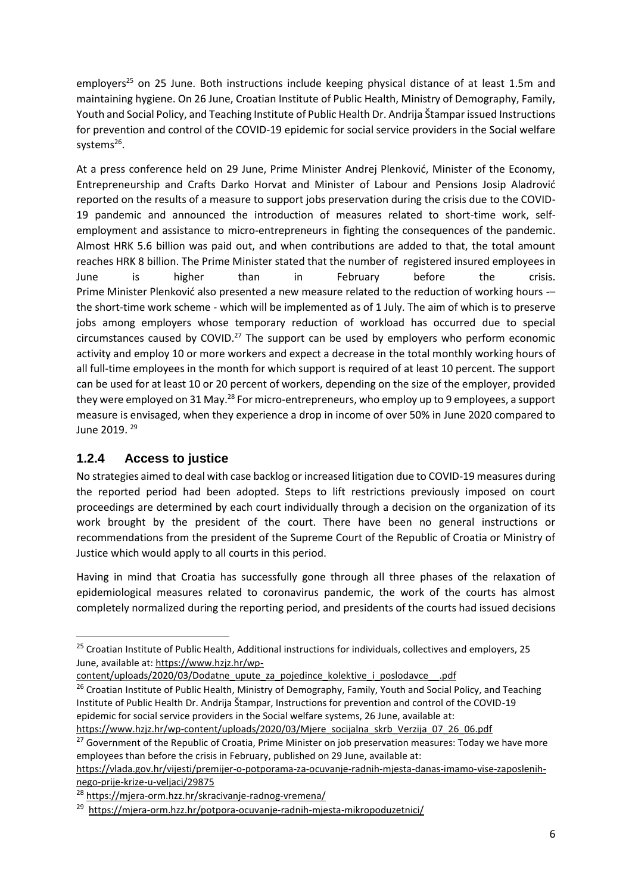employers<sup>25</sup> on 25 June. Both instructions include keeping physical distance of at least 1.5m and maintaining hygiene. On 26 June, Croatian Institute of Public Health, Ministry of Demography, Family, Youth and Social Policy, and Teaching Institute of Public Health Dr. Andrija Štampar issued Instructions for prevention and control of the COVID-19 epidemic for social service providers in the Social welfare systems<sup>26</sup>.

At a press conference held on 29 June, Prime Minister Andrej Plenković, Minister of the Economy, Entrepreneurship and Crafts Darko Horvat and Minister of Labour and Pensions Josip Aladrović reported on the results of a measure to support jobs preservation during the crisis due to the COVID-19 pandemic and announced the introduction of measures related to short-time work, selfemployment and assistance to micro-entrepreneurs in fighting the consequences of the pandemic. Almost HRK 5.6 billion was paid out, and when contributions are added to that, the total amount reaches HRK 8 billion. The Prime Minister stated that the number of registered insured employees in June is higher than in February before the crisis. Prime Minister Plenković also presented a new measure related to the reduction of working hours -– the short-time work scheme - which will be implemented as of 1 July. The aim of which is to preserve jobs among employers whose temporary reduction of workload has occurred due to special circumstances caused by COVID.<sup>27</sup> The support can be used by employers who perform economic activity and employ 10 or more workers and expect a decrease in the total monthly working hours of all full-time employees in the month for which support is required of at least 10 percent. The support can be used for at least 10 or 20 percent of workers, depending on the size of the employer, provided they were employed on 31 May.<sup>28</sup> For micro-entrepreneurs, who employ up to 9 employees, a support measure is envisaged, when they experience a drop in income of over 50% in June 2020 compared to June 2019. <sup>29</sup>

#### **1.2.4 Access to justice**

**.** 

No strategies aimed to deal with case backlog or increased litigation due to COVID-19 measures during the reported period had been adopted. Steps to lift restrictions previously imposed on court proceedings are determined by each court individually through a decision on the organization of its work brought by the president of the court. There have been no general instructions or recommendations from the president of the Supreme Court of the Republic of Croatia or Ministry of Justice which would apply to all courts in this period.

Having in mind that Croatia has successfully gone through all three phases of the relaxation of epidemiological measures related to coronavirus pandemic, the work of the courts has almost completely normalized during the reporting period, and presidents of the courts had issued decisions

<sup>&</sup>lt;sup>25</sup> Croatian Institute of Public Health, Additional instructions for individuals, collectives and employers, 25 June, available at: [https://www.hzjz.hr/wp-](https://www.hzjz.hr/wp-content/uploads/2020/03/Dodatne_upute_za_pojedince_kolektive_i_poslodavce__.pdf)

[content/uploads/2020/03/Dodatne\\_upute\\_za\\_pojedince\\_kolektive\\_i\\_poslodavce\\_\\_.pdf](https://www.hzjz.hr/wp-content/uploads/2020/03/Dodatne_upute_za_pojedince_kolektive_i_poslodavce__.pdf)

<sup>&</sup>lt;sup>26</sup> Croatian Institute of Public Health, Ministry of Demography, Family, Youth and Social Policy, and Teaching Institute of Public Health Dr. Andrija Štampar, Instructions for prevention and control of the COVID-19 epidemic for social service providers in the Social welfare systems, 26 June, available at:

[https://www.hzjz.hr/wp-content/uploads/2020/03/Mjere\\_socijalna\\_skrb\\_Verzija\\_07\\_26\\_06.pdf](https://www.hzjz.hr/wp-content/uploads/2020/03/Mjere_socijalna_skrb_Verzija_07_26_06.pdf)

<sup>&</sup>lt;sup>27</sup> Government of the Republic of Croatia, Prime Minister on job preservation measures: Today we have more employees than before the crisis in February, published on 29 June, available at:

[https://vlada.gov.hr/vijesti/premijer-o-potporama-za-ocuvanje-radnih-mjesta-danas-imamo-vise-zaposlenih](https://vlada.gov.hr/vijesti/premijer-o-potporama-za-ocuvanje-radnih-mjesta-danas-imamo-vise-zaposlenih-nego-prije-krize-u-veljaci/29875)[nego-prije-krize-u-veljaci/29875](https://vlada.gov.hr/vijesti/premijer-o-potporama-za-ocuvanje-radnih-mjesta-danas-imamo-vise-zaposlenih-nego-prije-krize-u-veljaci/29875)

<sup>28</sup> <https://mjera-orm.hzz.hr/skracivanje-radnog-vremena/>

<sup>&</sup>lt;sup>29</sup><https://mjera-orm.hzz.hr/potpora-ocuvanje-radnih-mjesta-mikropoduzetnici/>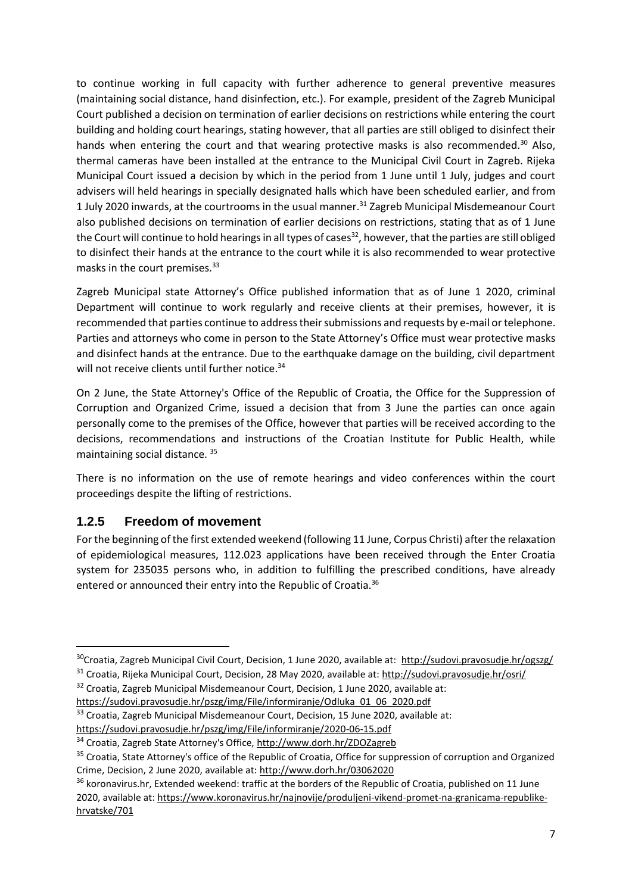to continue working in full capacity with further adherence to general preventive measures (maintaining social distance, hand disinfection, etc.). For example, president of the Zagreb Municipal Court published a decision on termination of earlier decisions on restrictions while entering the court building and holding court hearings, stating however, that all parties are still obliged to disinfect their hands when entering the court and that wearing protective masks is also recommended.<sup>30</sup> Also, thermal cameras have been installed at the entrance to the Municipal Civil Court in Zagreb. Rijeka Municipal Court issued a decision by which in the period from 1 June until 1 July, judges and court advisers will held hearings in specially designated halls which have been scheduled earlier, and from 1 July 2020 inwards, at the courtrooms in the usual manner.<sup>31</sup> Zagreb Municipal Misdemeanour Court also published decisions on termination of earlier decisions on restrictions, stating that as of 1 June the Court will continue to hold hearings in all types of cases<sup>32</sup>, however, that the parties are still obliged to disinfect their hands at the entrance to the court while it is also recommended to wear protective masks in the court premises. $33$ 

Zagreb Municipal state Attorney's Office published information that as of June 1 2020, criminal Department will continue to work regularly and receive clients at their premises, however, it is recommended that parties continue to address their submissions and requests by e-mail or telephone. Parties and attorneys who come in person to the State Attorney's Office must wear protective masks and disinfect hands at the entrance. Due to the earthquake damage on the building, civil department will not receive clients until further notice.<sup>34</sup>

On 2 June, the State Attorney's Office of the Republic of Croatia, the Office for the Suppression of Corruption and Organized Crime, issued a decision that from 3 June the parties can once again personally come to the premises of the Office, however that parties will be received according to the decisions, recommendations and instructions of the Croatian Institute for Public Health, while maintaining social distance. <sup>35</sup>

There is no information on the use of remote hearings and video conferences within the court proceedings despite the lifting of restrictions.

#### **1.2.5 Freedom of movement**

**.** 

For the beginning of the first extended weekend (following 11 June, Corpus Christi) after the relaxation of epidemiological measures, 112.023 applications have been received through the Enter Croatia system for 235035 persons who, in addition to fulfilling the prescribed conditions, have already entered or announced their entry into the Republic of Croatia.<sup>36</sup>

<sup>30</sup>Croatia, Zagreb Municipal Civil Court, Decision, 1 June 2020, available at: <http://sudovi.pravosudje.hr/ogszg/>

<sup>31</sup> Croatia, Rijeka Municipal Court, Decision, 28 May 2020, available at:<http://sudovi.pravosudje.hr/osri/>

<sup>&</sup>lt;sup>32</sup> Croatia, Zagreb Municipal Misdemeanour Court, Decision, 1 June 2020, available at: [https://sudovi.pravosudje.hr/pszg/img/File/informiranje/Odluka\\_01\\_06\\_2020.pdf](https://sudovi.pravosudje.hr/pszg/img/File/informiranje/Odluka_01_06_2020.pdf)

<sup>&</sup>lt;sup>33</sup> Croatia, Zagreb Municipal Misdemeanour Court, Decision, 15 June 2020, available at:

<https://sudovi.pravosudje.hr/pszg/img/File/informiranje/2020-06-15.pdf>

<sup>34</sup> Croatia, Zagreb State Attorney's Office,<http://www.dorh.hr/ZDOZagreb>

<sup>&</sup>lt;sup>35</sup> Croatia, State Attorney's office of the Republic of Croatia, Office for suppression of corruption and Organized Crime, Decision, 2 June 2020, available at[: http://www.dorh.hr/03062020](http://www.dorh.hr/03062020)

<sup>&</sup>lt;sup>36</sup> koronavirus.hr, Extended weekend: traffic at the borders of the Republic of Croatia, published on 11 June 2020, available at[: https://www.koronavirus.hr/najnovije/produljeni-vikend-promet-na-granicama-republike](https://www.koronavirus.hr/najnovije/produljeni-vikend-promet-na-granicama-republike-hrvatske/701)[hrvatske/701](https://www.koronavirus.hr/najnovije/produljeni-vikend-promet-na-granicama-republike-hrvatske/701)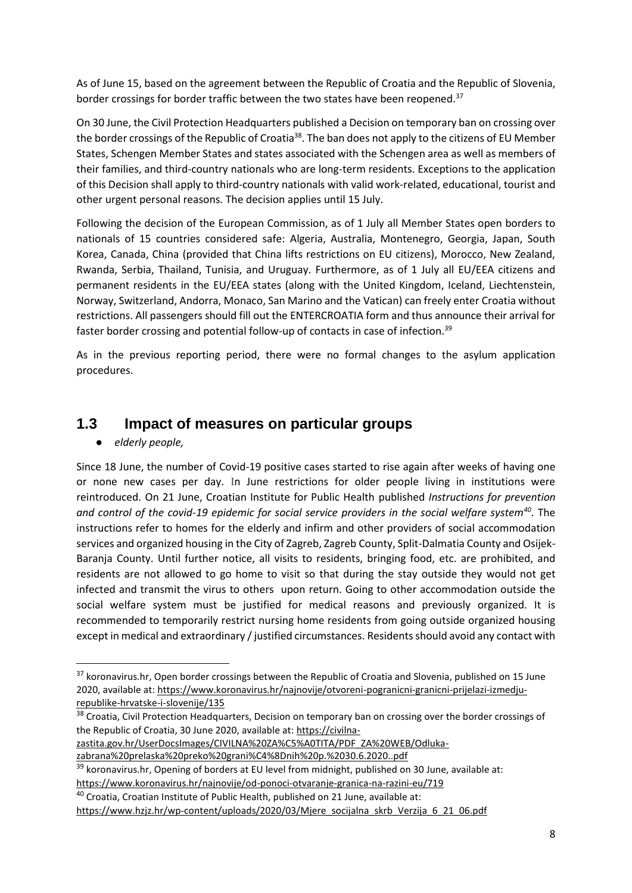As of June 15, based on the agreement between the Republic of Croatia and the Republic of Slovenia, border crossings for border traffic between the two states have been reopened.<sup>37</sup>

On 30 June, the Civil Protection Headquarters published a Decision on temporary ban on crossing over the border crossings of the Republic of Croatia<sup>38</sup>. The ban does not apply to the citizens of EU Member States, Schengen Member States and states associated with the Schengen area as well as members of their families, and third-country nationals who are long-term residents. Exceptions to the application of this Decision shall apply to third-country nationals with valid work-related, educational, tourist and other urgent personal reasons. The decision applies until 15 July.

Following the decision of the European Commission, as of 1 July all Member States open borders to nationals of 15 countries considered safe: Algeria, Australia, Montenegro, Georgia, Japan, South Korea, Canada, China (provided that China lifts restrictions on EU citizens), Morocco, New Zealand, Rwanda, Serbia, Thailand, Tunisia, and Uruguay. Furthermore, as of 1 July all EU/EEA citizens and permanent residents in the EU/EEA states (along with the United Kingdom, Iceland, Liechtenstein, Norway, Switzerland, Andorra, Monaco, San Marino and the Vatican) can freely enter Croatia without restrictions. All passengers should fill out the ENTERCROATIA form and thus announce their arrival for faster border crossing and potential follow-up of contacts in case of infection.<sup>39</sup>

As in the previous reporting period, there were no formal changes to the asylum application procedures.

### **1.3 Impact of measures on particular groups**

● *elderly people,*

1

Since 18 June, the number of Covid-19 positive cases started to rise again after weeks of having one or none new cases per day. In June restrictions for older people living in institutions were reintroduced. On 21 June, Croatian Institute for Public Health published *Instructions for prevention and control of the covid-19 epidemic for social service providers in the social welfare system<sup>40</sup>*. The instructions refer to homes for the elderly and infirm and other providers of social accommodation services and organized housing in the City of Zagreb, Zagreb County, Split-Dalmatia County and Osijek-Baranja County. Until further notice, all visits to residents, bringing food, etc. are prohibited, and residents are not allowed to go home to visit so that during the stay outside they would not get infected and transmit the virus to others upon return. Going to other accommodation outside the social welfare system must be justified for medical reasons and previously organized. It is recommended to temporarily restrict nursing home residents from going outside organized housing except in medical and extraordinary / justified circumstances. Residents should avoid any contact with

<sup>38</sup> Croatia, Civil Protection Headquarters, Decision on temporary ban on crossing over the border crossings of the Republic of Croatia, 30 June 2020, available at: [https://civilna-](https://civilna-zastita.gov.hr/UserDocsImages/CIVILNA%20ZA%C5%A0TITA/PDF_ZA%20WEB/Odluka-zabrana%20prelaska%20preko%20grani%C4%8Dnih%20p.%2030.6.2020..pdf)

[zastita.gov.hr/UserDocsImages/CIVILNA%20ZA%C5%A0TITA/PDF\\_ZA%20WEB/Odluka-](https://civilna-zastita.gov.hr/UserDocsImages/CIVILNA%20ZA%C5%A0TITA/PDF_ZA%20WEB/Odluka-zabrana%20prelaska%20preko%20grani%C4%8Dnih%20p.%2030.6.2020..pdf)

[zabrana%20prelaska%20preko%20grani%C4%8Dnih%20p.%2030.6.2020..pdf](https://civilna-zastita.gov.hr/UserDocsImages/CIVILNA%20ZA%C5%A0TITA/PDF_ZA%20WEB/Odluka-zabrana%20prelaska%20preko%20grani%C4%8Dnih%20p.%2030.6.2020..pdf)

<sup>&</sup>lt;sup>37</sup> koronavirus.hr, Open border crossings between the Republic of Croatia and Slovenia, published on 15 June 2020, available at[: https://www.koronavirus.hr/najnovije/otvoreni-pogranicni-granicni-prijelazi-izmedju](https://www.koronavirus.hr/najnovije/otvoreni-pogranicni-granicni-prijelazi-izmedju-republike-hrvatske-i-slovenije/135)[republike-hrvatske-i-slovenije/135](https://www.koronavirus.hr/najnovije/otvoreni-pogranicni-granicni-prijelazi-izmedju-republike-hrvatske-i-slovenije/135)

<sup>&</sup>lt;sup>39</sup> koronavirus.hr, Opening of borders at EU level from midnight, published on 30 June, available at: <https://www.koronavirus.hr/najnovije/od-ponoci-otvaranje-granica-na-razini-eu/719>

<sup>40</sup> Croatia, Croatian Institute of Public Health, published on 21 June, available at:

[https://www.hzjz.hr/wp-content/uploads/2020/03/Mjere\\_socijalna\\_skrb\\_Verzija\\_6\\_21\\_06.pdf](https://www.hzjz.hr/wp-content/uploads/2020/03/Mjere_socijalna_skrb_Verzija_6_21_06.pdf)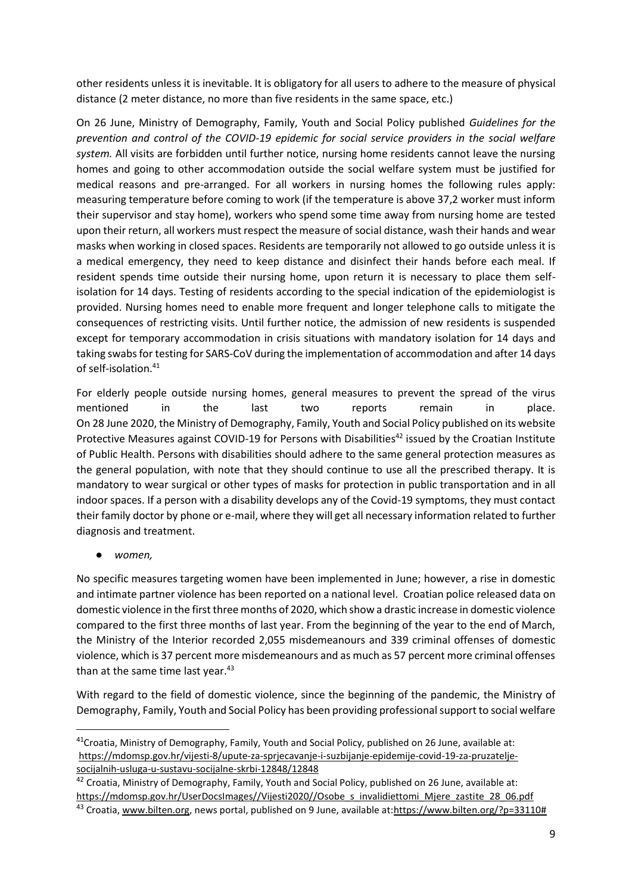other residents unless it is inevitable. It is obligatory for all users to adhere to the measure of physical distance (2 meter distance, no more than five residents in the same space, etc.)

On 26 June, Ministry of Demography, Family, Youth and Social Policy published *Guidelines for the prevention and control of the COVID-19 epidemic for social service providers in the social welfare system.* All visits are forbidden until further notice, nursing home residents cannot leave the nursing homes and going to other accommodation outside the social welfare system must be justified for medical reasons and pre-arranged. For all workers in nursing homes the following rules apply: measuring temperature before coming to work (if the temperature is above 37,2 worker must inform their supervisor and stay home), workers who spend some time away from nursing home are tested upon their return, all workers must respect the measure of social distance, wash their hands and wear masks when working in closed spaces. Residents are temporarily not allowed to go outside unless it is a medical emergency, they need to keep distance and disinfect their hands before each meal. If resident spends time outside their nursing home, upon return it is necessary to place them selfisolation for 14 days. Testing of residents according to the special indication of the epidemiologist is provided. Nursing homes need to enable more frequent and longer telephone calls to mitigate the consequences of restricting visits. Until further notice, the admission of new residents is suspended except for temporary accommodation in crisis situations with mandatory isolation for 14 days and taking swabs for testing for SARS-CoV during the implementation of accommodation and after 14 days of self-isolation.<sup>41</sup>

For elderly people outside nursing homes, general measures to prevent the spread of the virus mentioned in the last two reports remain in place. On 28 June 2020, the Ministry of Demography, Family, Youth and Social Policy published on its website Protective Measures against COVID-19 for Persons with Disabilities<sup>42</sup> issued by the Croatian Institute of Public Health. Persons with disabilities should adhere to the same general protection measures as the general population, with note that they should continue to use all the prescribed therapy. It is mandatory to wear surgical or other types of masks for protection in public transportation and in all indoor spaces. If a person with a disability develops any of the Covid-19 symptoms, they must contact their family doctor by phone or e-mail, where they will get all necessary information related to further diagnosis and treatment.

● *women,*

 $\overline{\phantom{a}}$ 

No specific measures targeting women have been implemented in June; however, a rise in domestic and intimate partner violence has been reported on a national level. Croatian police released data on domestic violence in the first three months of 2020, which show a drastic increase in domestic violence compared to the first three months of last year. From the beginning of the year to the end of March, the Ministry of the Interior recorded 2,055 misdemeanours and 339 criminal offenses of domestic violence, which is 37 percent more misdemeanours and as much as 57 percent more criminal offenses than at the same time last year. $43$ 

With regard to the field of domestic violence, since the beginning of the pandemic, the Ministry of Demography, Family, Youth and Social Policy has been providing professional support to social welfare

 $41$ Croatia, Ministry of Demography, Family, Youth and Social Policy, published on 26 June, available at: [https://mdomsp.gov.hr/vijesti-8/upute-za-sprjecavanje-i-suzbijanje-epidemije-covid-19-za-pruzatelje](https://mdomsp.gov.hr/vijesti-8/upute-za-sprjecavanje-i-suzbijanje-epidemije-covid-19-za-pruzatelje-socijalnih-usluga-u-sustavu-socijalne-skrbi-12848/12848)[socijalnih-usluga-u-sustavu-socijalne-skrbi-12848/12848](https://mdomsp.gov.hr/vijesti-8/upute-za-sprjecavanje-i-suzbijanje-epidemije-covid-19-za-pruzatelje-socijalnih-usluga-u-sustavu-socijalne-skrbi-12848/12848)

 $42$  Croatia, Ministry of Demography, Family, Youth and Social Policy, published on 26 June, available at: [https://mdomsp.gov.hr/UserDocsImages//Vijesti2020//Osobe\\_s\\_invalidiettomi\\_Mjere\\_zastite\\_28\\_06.pdf](https://mdomsp.gov.hr/UserDocsImages/Vijesti2020/Osobe_s_invalidiettomi_Mjere_zastite_28_06.pdf)

<sup>43</sup> Croatia[, www.bilten.org,](http://www.bilten.org/) news portal, published on 9 June, available at:https://www.bilten.org/?p=33110#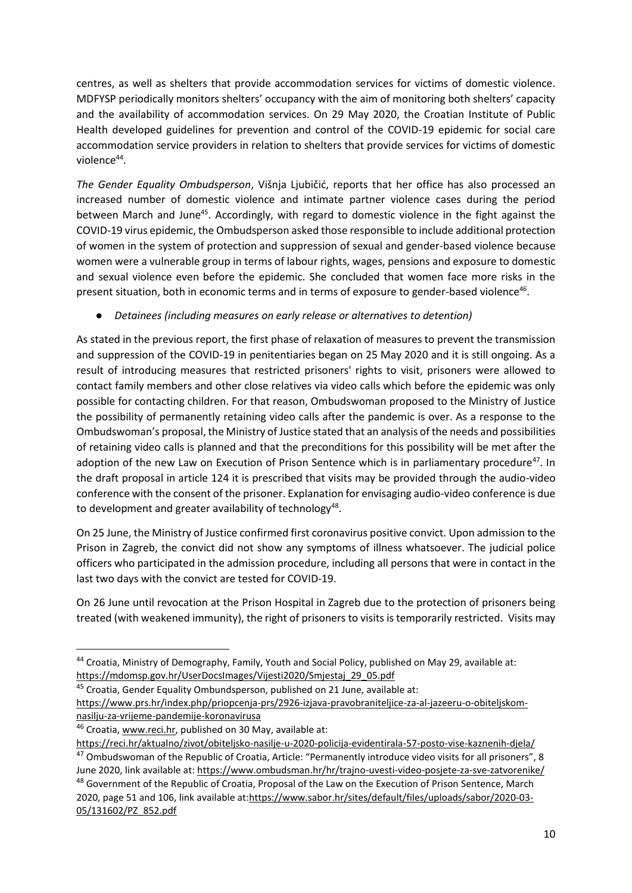centres, as well as shelters that provide accommodation services for victims of domestic violence. MDFYSP periodically monitors shelters' occupancy with the aim of monitoring both shelters' capacity and the availability of accommodation services. On 29 May 2020, the Croatian Institute of Public Health developed guidelines for prevention and control of the COVID-19 epidemic for social care accommodation service providers in relation to shelters that provide services for victims of domestic violence<sup>44</sup>.

*The Gender Equality Ombudsperson*, Višnja Ljubičić, reports that her office has also processed an increased number of domestic violence and intimate partner violence cases during the period between March and June<sup>45</sup>. Accordingly, with regard to domestic violence in the fight against the COVID-19 virus epidemic, the Ombudsperson asked those responsible to include additional protection of women in the system of protection and suppression of sexual and gender-based violence because women were a vulnerable group in terms of labour rights, wages, pensions and exposure to domestic and sexual violence even before the epidemic. She concluded that women face more risks in the present situation, both in economic terms and in terms of exposure to gender-based violence<sup>46</sup>.

#### ● *Detainees (including measures on early release or alternatives to detention)*

As stated in the previous report, the first phase of relaxation of measures to prevent the transmission and suppression of the COVID-19 in penitentiaries began on 25 May 2020 and it is still ongoing. As a result of introducing measures that restricted prisoners' rights to visit, prisoners were allowed to contact family members and other close relatives via video calls which before the epidemic was only possible for contacting children. For that reason, Ombudswoman proposed to the Ministry of Justice the possibility of permanently retaining video calls after the pandemic is over. As a response to the Ombudswoman's proposal, the Ministry of Justice stated that an analysis of the needs and possibilities of retaining video calls is planned and that the preconditions for this possibility will be met after the adoption of the new Law on Execution of Prison Sentence which is in parliamentary procedure<sup>47</sup>. In the draft proposal in article 124 it is prescribed that visits may be provided through the audio-video conference with the consent of the prisoner. Explanation for envisaging audio-video conference is due to development and greater availability of technology<sup>48</sup>.

On 25 June, the Ministry of Justice confirmed first coronavirus positive convict. Upon admission to the Prison in Zagreb, the convict did not show any symptoms of illness whatsoever. The judicial police officers who participated in the admission procedure, including all persons that were in contact in the last two days with the convict are tested for COVID-19.

On 26 June until revocation at the Prison Hospital in Zagreb due to the protection of prisoners being treated (with weakened immunity), the right of prisoners to visits is temporarily restricted. Visits may

 $\overline{\phantom{a}}$ 

<sup>44</sup> Croatia, Ministry of Demography, Family, Youth and Social Policy, published on May 29, available at: [https://mdomsp.gov.hr/UserDocsImages/Vijesti2020/Smjestaj\\_29\\_05.pdf](https://mdomsp.gov.hr/UserDocsImages/Vijesti2020/Smjestaj_29_05.pdf)

<sup>45</sup> Croatia, Gender Equality Ombundsperson, published on 21 June, available at:

[https://www.prs.hr/index.php/priopcenja-prs/2926-izjava-pravobraniteljice-za-al-jazeeru-o-obiteljskom](https://www.prs.hr/index.php/priopcenja-prs/2926-izjava-pravobraniteljice-za-al-jazeeru-o-obiteljskom-nasilju-za-vrijeme-pandemije-koronavirusa)[nasilju-za-vrijeme-pandemije-koronavirusa](https://www.prs.hr/index.php/priopcenja-prs/2926-izjava-pravobraniteljice-za-al-jazeeru-o-obiteljskom-nasilju-za-vrijeme-pandemije-koronavirusa)

<sup>46</sup> Croatia[, www.reci.hr,](http://www.reci.hr/) published on 30 May, available at:

<https://reci.hr/aktualno/zivot/obiteljsko-nasilje-u-2020-policija-evidentirala-57-posto-vise-kaznenih-djela/> <sup>47</sup> Ombudswoman of the Republic of Croatia, Article: "Permanently introduce video visits for all prisoners", 8

June 2020, link available at:<https://www.ombudsman.hr/hr/trajno-uvesti-video-posjete-za-sve-zatvorenike/>

<sup>&</sup>lt;sup>48</sup> Government of the Republic of Croatia, Proposal of the Law on the Execution of Prison Sentence, March 2020, page 51 and 106, link available at[:https://www.sabor.hr/sites/default/files/uploads/sabor/2020-03-](https://www.sabor.hr/sites/default/files/uploads/sabor/2020-03-05/131602/PZ_852.pdf) [05/131602/PZ\\_852.pdf](https://www.sabor.hr/sites/default/files/uploads/sabor/2020-03-05/131602/PZ_852.pdf)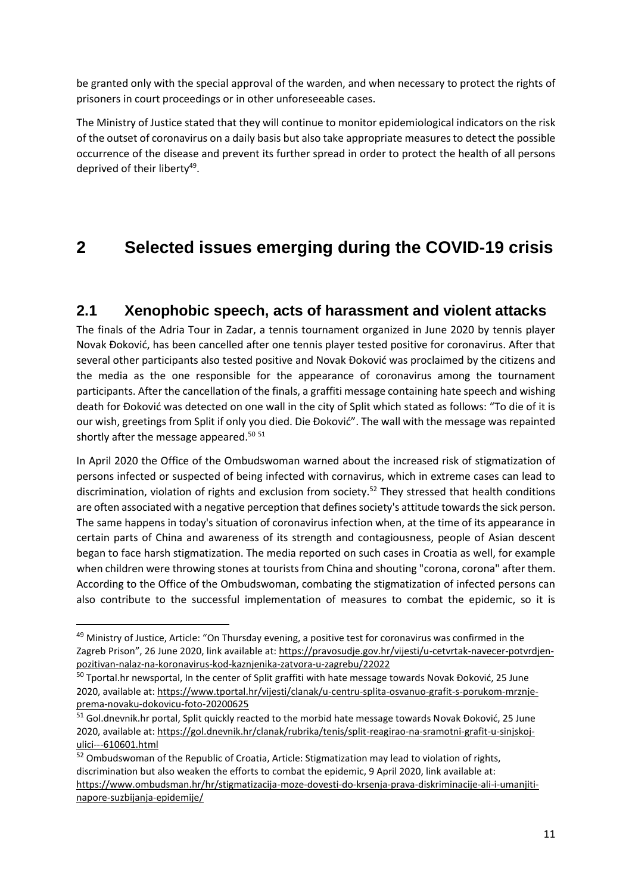be granted only with the special approval of the warden, and when necessary to protect the rights of prisoners in court proceedings or in other unforeseeable cases.

The Ministry of Justice stated that they will continue to monitor epidemiological indicators on the risk of the outset of coronavirus on a daily basis but also take appropriate measures to detect the possible occurrence of the disease and prevent its further spread in order to protect the health of all persons deprived of their liberty<sup>49</sup>.

# **2 Selected issues emerging during the COVID-19 crisis**

### **2.1 Xenophobic speech, acts of harassment and violent attacks**

The finals of the Adria Tour in Zadar, a tennis tournament organized in June 2020 by tennis player Novak Đoković, has been cancelled after one tennis player tested positive for coronavirus. After that several other participants also tested positive and Novak Đoković was proclaimed by the citizens and the media as the one responsible for the appearance of coronavirus among the tournament participants. After the cancellation of the finals, a graffiti message containing hate speech and wishing death for Đoković was detected on one wall in the city of Split which stated as follows: "To die of it is our wish, greetings from Split if only you died. Die Đoković". The wall with the message was repainted shortly after the message appeared. $50\,51$ 

In April 2020 the Office of the Ombudswoman warned about the increased risk of stigmatization of persons infected or suspected of being infected with cornavirus, which in extreme cases can lead to discrimination, violation of rights and exclusion from society.<sup>52</sup> They stressed that health conditions are often associated with a negative perception that defines society's attitude towards the sick person. The same happens in today's situation of coronavirus infection when, at the time of its appearance in certain parts of China and awareness of its strength and contagiousness, people of Asian descent began to face harsh stigmatization. The media reported on such cases in Croatia as well, for example when children were throwing stones at tourists from China and shouting "corona, corona" after them. According to the Office of the Ombudswoman, combating the stigmatization of infected persons can also contribute to the successful implementation of measures to combat the epidemic, so it is

**.** 

<sup>&</sup>lt;sup>49</sup> Ministry of Justice, Article: "On Thursday evening, a positive test for coronavirus was confirmed in the Zagreb Prison", 26 June 2020, link available at: [https://pravosudje.gov.hr/vijesti/u-cetvrtak-navecer-potvrdjen](https://pravosudje.gov.hr/vijesti/u-cetvrtak-navecer-potvrdjen-pozitivan-nalaz-na-koronavirus-kod-kaznjenika-zatvora-u-zagrebu/22022)[pozitivan-nalaz-na-koronavirus-kod-kaznjenika-zatvora-u-zagrebu/22022](https://pravosudje.gov.hr/vijesti/u-cetvrtak-navecer-potvrdjen-pozitivan-nalaz-na-koronavirus-kod-kaznjenika-zatvora-u-zagrebu/22022)

<sup>&</sup>lt;sup>50</sup> Tportal.hr newsportal, In the center of Split graffiti with hate message towards Novak Đoković, 25 June 2020, available at[: https://www.tportal.hr/vijesti/clanak/u-centru-splita-osvanuo-grafit-s-porukom-mrznje](https://www.tportal.hr/vijesti/clanak/u-centru-splita-osvanuo-grafit-s-porukom-mrznje-prema-novaku-dokovicu-foto-20200625)[prema-novaku-dokovicu-foto-20200625](https://www.tportal.hr/vijesti/clanak/u-centru-splita-osvanuo-grafit-s-porukom-mrznje-prema-novaku-dokovicu-foto-20200625)

<sup>51</sup> Gol.dnevnik.hr portal, Split quickly reacted to the morbid hate message towards Novak Đoković, 25 June 2020, available at[: https://gol.dnevnik.hr/clanak/rubrika/tenis/split-reagirao-na-sramotni-grafit-u-sinjskoj](https://gol.dnevnik.hr/clanak/rubrika/tenis/split-reagirao-na-sramotni-grafit-u-sinjskoj-ulici---610601.html)[ulici---610601.html](https://gol.dnevnik.hr/clanak/rubrika/tenis/split-reagirao-na-sramotni-grafit-u-sinjskoj-ulici---610601.html)

<sup>&</sup>lt;sup>52</sup> Ombudswoman of the Republic of Croatia, Article: Stigmatization may lead to violation of rights, discrimination but also weaken the efforts to combat the epidemic, 9 April 2020, link available at: [https://www.ombudsman.hr/hr/stigmatizacija-moze-dovesti-do-krsenja-prava-diskriminacije-ali-i-umanjiti](https://www.ombudsman.hr/hr/stigmatizacija-moze-dovesti-do-krsenja-prava-diskriminacije-ali-i-umanjiti-napore-suzbijanja-epidemije/)[napore-suzbijanja-epidemije/](https://www.ombudsman.hr/hr/stigmatizacija-moze-dovesti-do-krsenja-prava-diskriminacije-ali-i-umanjiti-napore-suzbijanja-epidemije/)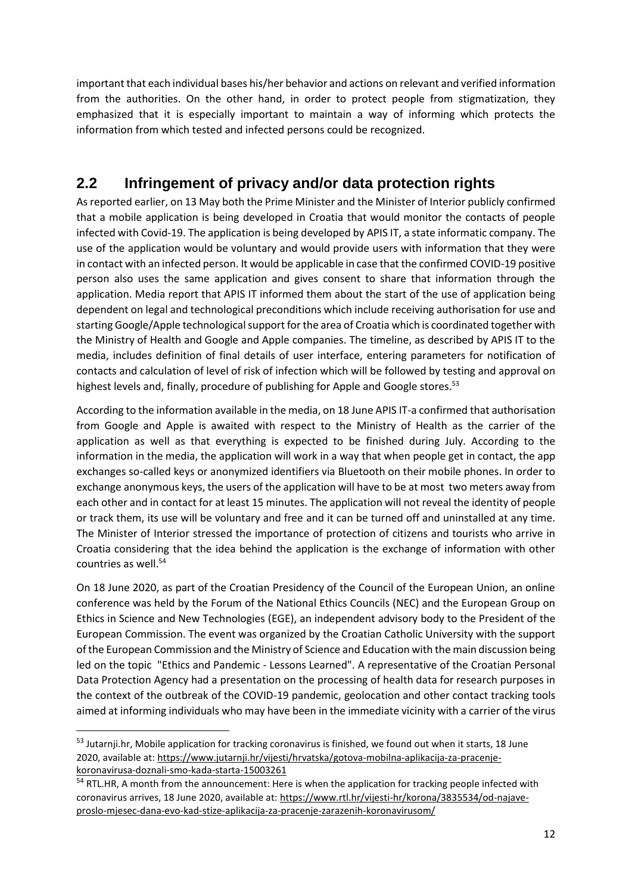important that each individual bases his/her behavior and actions on relevant and verified information from the authorities. On the other hand, in order to protect people from stigmatization, they emphasized that it is especially important to maintain a way of informing which protects the information from which tested and infected persons could be recognized.

## **2.2 Infringement of privacy and/or data protection rights**

As reported earlier, on 13 May both the Prime Minister and the Minister of Interior publicly confirmed that a mobile application is being developed in Croatia that would monitor the contacts of people infected with Covid-19. The application is being developed by APIS IT, a state informatic company. The use of the application would be voluntary and would provide users with information that they were in contact with an infected person. It would be applicable in case that the confirmed COVID-19 positive person also uses the same application and gives consent to share that information through the application. Media report that APIS IT informed them about the start of the use of application being dependent on legal and technological preconditions which include receiving authorisation for use and starting Google/Apple technological support for the area of Croatia which is coordinated together with the Ministry of Health and Google and Apple companies. The timeline, as described by APIS IT to the media, includes definition of final details of user interface, entering parameters for notification of contacts and calculation of level of risk of infection which will be followed by testing and approval on highest levels and, finally, procedure of publishing for Apple and Google stores.<sup>53</sup>

According to the information available in the media, on 18 June APIS IT-a confirmed that authorisation from Google and Apple is awaited with respect to the Ministry of Health as the carrier of the application as well as that everything is expected to be finished during July. According to the information in the media, the application will work in a way that when people get in contact, the app exchanges so-called keys or anonymized identifiers via Bluetooth on their mobile phones. In order to exchange anonymous keys, the users of the application will have to be at most two meters away from each other and in contact for at least 15 minutes. The application will not reveal the identity of people or track them, its use will be voluntary and free and it can be turned off and uninstalled at any time. The Minister of Interior stressed the importance of protection of citizens and tourists who arrive in Croatia considering that the idea behind the application is the exchange of information with other countries as well.<sup>54</sup>

On 18 June 2020, as part of the Croatian Presidency of the Council of the European Union, an online conference was held by the Forum of the National Ethics Councils (NEC) and the European Group on Ethics in Science and New Technologies (EGE), an independent advisory body to the President of the European Commission. The event was organized by the Croatian Catholic University with the support of the European Commission and the Ministry of Science and Education with the main discussion being led on the topic "Ethics and Pandemic - Lessons Learned". A representative of the Croatian Personal Data Protection Agency had a presentation on the processing of health data for research purposes in the context of the outbreak of the COVID-19 pandemic, geolocation and other contact tracking tools aimed at informing individuals who may have been in the immediate vicinity with a carrier of the virus

**.** 

<sup>53</sup> Jutarnji.hr, Mobile application for tracking coronavirus is finished, we found out when it starts, 18 June 2020, available at[: https://www.jutarnji.hr/vijesti/hrvatska/gotova-mobilna-aplikacija-za-pracenje](https://www.jutarnji.hr/vijesti/hrvatska/gotova-mobilna-aplikacija-za-pracenje-koronavirusa-doznali-smo-kada-starta-15003261)[koronavirusa-doznali-smo-kada-starta-15003261](https://www.jutarnji.hr/vijesti/hrvatska/gotova-mobilna-aplikacija-za-pracenje-koronavirusa-doznali-smo-kada-starta-15003261)

<sup>&</sup>lt;sup>54</sup> RTL.HR, A month from the announcement: Here is when the application for tracking people infected with coronavirus arrives, 18 June 2020, available at: [https://www.rtl.hr/vijesti-hr/korona/3835534/od-najave](https://www.rtl.hr/vijesti-hr/korona/3835534/od-najave-proslo-mjesec-dana-evo-kad-stize-aplikacija-za-pracenje-zarazenih-koronavirusom/)[proslo-mjesec-dana-evo-kad-stize-aplikacija-za-pracenje-zarazenih-koronavirusom/](https://www.rtl.hr/vijesti-hr/korona/3835534/od-najave-proslo-mjesec-dana-evo-kad-stize-aplikacija-za-pracenje-zarazenih-koronavirusom/)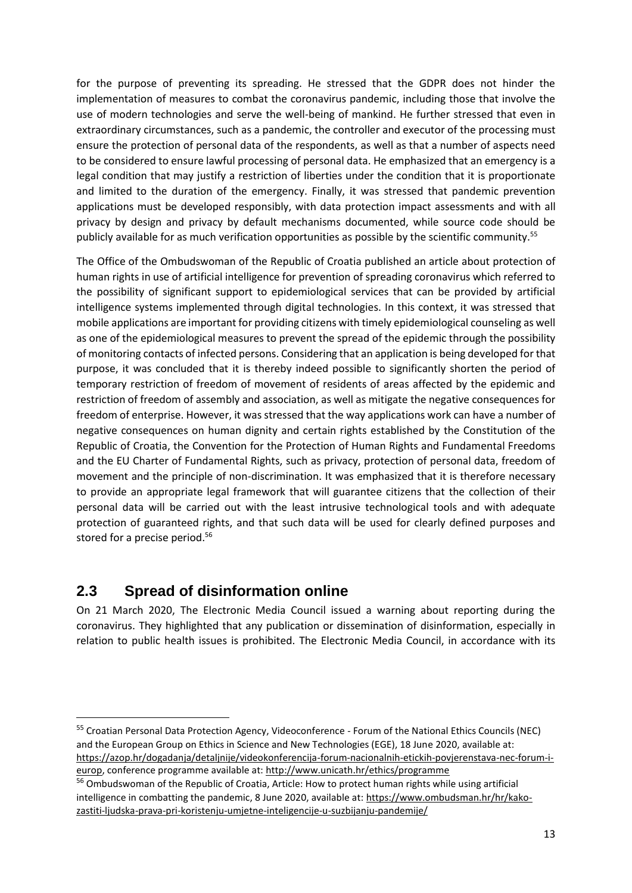for the purpose of preventing its spreading. He stressed that the GDPR does not hinder the implementation of measures to combat the coronavirus pandemic, including those that involve the use of modern technologies and serve the well-being of mankind. He further stressed that even in extraordinary circumstances, such as a pandemic, the controller and executor of the processing must ensure the protection of personal data of the respondents, as well as that a number of aspects need to be considered to ensure lawful processing of personal data. He emphasized that an emergency is a legal condition that may justify a restriction of liberties under the condition that it is proportionate and limited to the duration of the emergency. Finally, it was stressed that pandemic prevention applications must be developed responsibly, with data protection impact assessments and with all privacy by design and privacy by default mechanisms documented, while source code should be publicly available for as much verification opportunities as possible by the scientific community.<sup>55</sup>

The Office of the Ombudswoman of the Republic of Croatia published an article about protection of human rights in use of artificial intelligence for prevention of spreading coronavirus which referred to the possibility of significant support to epidemiological services that can be provided by artificial intelligence systems implemented through digital technologies. In this context, it was stressed that mobile applications are important for providing citizens with timely epidemiological counseling as well as one of the epidemiological measures to prevent the spread of the epidemic through the possibility of monitoring contacts of infected persons. Considering that an application is being developed for that purpose, it was concluded that it is thereby indeed possible to significantly shorten the period of temporary restriction of freedom of movement of residents of areas affected by the epidemic and restriction of freedom of assembly and association, as well as mitigate the negative consequences for freedom of enterprise. However, it was stressed that the way applications work can have a number of negative consequences on human dignity and certain rights established by the Constitution of the Republic of Croatia, the Convention for the Protection of Human Rights and Fundamental Freedoms and the EU Charter of Fundamental Rights, such as privacy, protection of personal data, freedom of movement and the principle of non-discrimination. It was emphasized that it is therefore necessary to provide an appropriate legal framework that will guarantee citizens that the collection of their personal data will be carried out with the least intrusive technological tools and with adequate protection of guaranteed rights, and that such data will be used for clearly defined purposes and stored for a precise period.<sup>56</sup>

### **2.3 Spread of disinformation online**

**.** 

On 21 March 2020, The Electronic Media Council issued a warning about reporting during the coronavirus. They highlighted that any publication or dissemination of disinformation, especially in relation to public health issues is prohibited. The Electronic Media Council, in accordance with its

<sup>55</sup> Croatian Personal Data Protection Agency, Videoconference - Forum of the National Ethics Councils (NEC) and the European Group on Ethics in Science and New Technologies (EGE), 18 June 2020, available at: [https://azop.hr/dogadanja/detaljnije/videokonferencija-forum-nacionalnih-etickih-povjerenstava-nec-forum-i](https://azop.hr/dogadanja/detaljnije/videokonferencija-forum-nacionalnih-etickih-povjerenstava-nec-forum-i-europ)[europ,](https://azop.hr/dogadanja/detaljnije/videokonferencija-forum-nacionalnih-etickih-povjerenstava-nec-forum-i-europ) conference programme available at[: http://www.unicath.hr/ethics/programme](http://www.unicath.hr/ethics/programme)

<sup>&</sup>lt;sup>56</sup> Ombudswoman of the Republic of Croatia, Article: How to protect human rights while using artificial intelligence in combatting the pandemic, 8 June 2020, available at: [https://www.ombudsman.hr/hr/kako](https://www.ombudsman.hr/hr/kako-zastiti-ljudska-prava-pri-koristenju-umjetne-inteligencije-u-suzbijanju-pandemije/)[zastiti-ljudska-prava-pri-koristenju-umjetne-inteligencije-u-suzbijanju-pandemije/](https://www.ombudsman.hr/hr/kako-zastiti-ljudska-prava-pri-koristenju-umjetne-inteligencije-u-suzbijanju-pandemije/)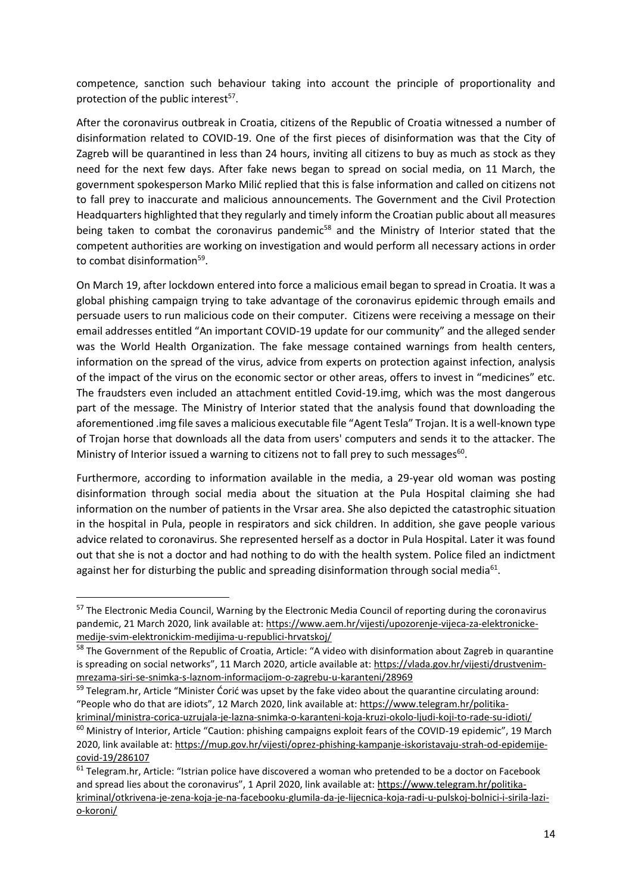competence, sanction such behaviour taking into account the principle of proportionality and protection of the public interest<sup>57</sup>.

After the coronavirus outbreak in Croatia, citizens of the Republic of Croatia witnessed a number of disinformation related to COVID-19. One of the first pieces of disinformation was that the City of Zagreb will be quarantined in less than 24 hours, inviting all citizens to buy as much as stock as they need for the next few days. After fake news began to spread on social media, on 11 March, the government spokesperson Marko Milić replied that this is false information and called on citizens not to fall prey to inaccurate and malicious announcements. The Government and the Civil Protection Headquarters highlighted that they regularly and timely inform the Croatian public about all measures being taken to combat the coronavirus pandemic<sup>58</sup> and the Ministry of Interior stated that the competent authorities are working on investigation and would perform all necessary actions in order to combat disinformation<sup>59</sup>.

On March 19, after lockdown entered into force a malicious email began to spread in Croatia. It was a global phishing campaign trying to take advantage of the coronavirus epidemic through emails and persuade users to run malicious code on their computer. Citizens were receiving a message on their email addresses entitled "An important COVID-19 update for our community" and the alleged sender was the World Health Organization. The fake message contained warnings from health centers, information on the spread of the virus, advice from experts on protection against infection, analysis of the impact of the virus on the economic sector or other areas, offers to invest in "medicines" etc. The fraudsters even included an attachment entitled Covid-19.img, which was the most dangerous part of the message. The Ministry of Interior stated that the analysis found that downloading the aforementioned .img file saves a malicious executable file "Agent Tesla" Trojan. It is a well-known type of Trojan horse that downloads all the data from users' computers and sends it to the attacker. The Ministry of Interior issued a warning to citizens not to fall prey to such messages<sup>60</sup>.

Furthermore, according to information available in the media, a 29-year old woman was posting disinformation through social media about the situation at the Pula Hospital claiming she had information on the number of patients in the Vrsar area. She also depicted the catastrophic situation in the hospital in Pula, people in respirators and sick children. In addition, she gave people various advice related to coronavirus. She represented herself as a doctor in Pula Hospital. Later it was found out that she is not a doctor and had nothing to do with the health system. Police filed an indictment against her for disturbing the public and spreading disinformation through social media<sup>61</sup>.

1

<sup>&</sup>lt;sup>57</sup> The Electronic Media Council, Warning by the Electronic Media Council of reporting during the coronavirus pandemic, 21 March 2020, link available at: [https://www.aem.hr/vijesti/upozorenje-vijeca-za-elektronicke](https://www.aem.hr/vijesti/upozorenje-vijeca-za-elektronicke-medije-svim-elektronickim-medijima-u-republici-hrvatskoj/)[medije-svim-elektronickim-medijima-u-republici-hrvatskoj/](https://www.aem.hr/vijesti/upozorenje-vijeca-za-elektronicke-medije-svim-elektronickim-medijima-u-republici-hrvatskoj/)

<sup>58</sup> The Government of the Republic of Croatia, Article: "A video with disinformation about Zagreb in quarantine is spreading on social networks", 11 March 2020, article available at: [https://vlada.gov.hr/vijesti/drustvenim](https://vlada.gov.hr/vijesti/drustvenim-mrezama-siri-se-snimka-s-laznom-informacijom-o-zagrebu-u-karanteni/28969)[mrezama-siri-se-snimka-s-laznom-informacijom-o-zagrebu-u-karanteni/28969](https://vlada.gov.hr/vijesti/drustvenim-mrezama-siri-se-snimka-s-laznom-informacijom-o-zagrebu-u-karanteni/28969)

<sup>&</sup>lt;sup>59</sup> Telegram.hr, Article "Minister Ćorić was upset by the fake video about the quarantine circulating around: "People who do that are idiots", 12 March 2020, link available at: [https://www.telegram.hr/politika](https://www.telegram.hr/politika-kriminal/ministra-corica-uzrujala-je-lazna-snimka-o-karanteni-koja-kruzi-okolo-ljudi-koji-to-rade-su-idioti/)[kriminal/ministra-corica-uzrujala-je-lazna-snimka-o-karanteni-koja-kruzi-okolo-ljudi-koji-to-rade-su-idioti/](https://www.telegram.hr/politika-kriminal/ministra-corica-uzrujala-je-lazna-snimka-o-karanteni-koja-kruzi-okolo-ljudi-koji-to-rade-su-idioti/)

<sup>&</sup>lt;sup>60</sup> Ministry of Interior, Article "Caution: phishing campaigns exploit fears of the COVID-19 epidemic", 19 March 2020, link available at: [https://mup.gov.hr/vijesti/oprez-phishing-kampanje-iskoristavaju-strah-od-epidemije](https://mup.gov.hr/vijesti/oprez-phishing-kampanje-iskoristavaju-strah-od-epidemije-covid-19/286107)[covid-19/286107](https://mup.gov.hr/vijesti/oprez-phishing-kampanje-iskoristavaju-strah-od-epidemije-covid-19/286107)

 $61$  Telegram.hr, Article: "Istrian police have discovered a woman who pretended to be a doctor on Facebook and spread lies about the coronavirus", 1 April 2020, link available at: [https://www.telegram.hr/politika](https://www.telegram.hr/politika-kriminal/otkrivena-je-zena-koja-je-na-facebooku-glumila-da-je-lijecnica-koja-radi-u-pulskoj-bolnici-i-sirila-lazi-o-koroni/)[kriminal/otkrivena-je-zena-koja-je-na-facebooku-glumila-da-je-lijecnica-koja-radi-u-pulskoj-bolnici-i-sirila-lazi](https://www.telegram.hr/politika-kriminal/otkrivena-je-zena-koja-je-na-facebooku-glumila-da-je-lijecnica-koja-radi-u-pulskoj-bolnici-i-sirila-lazi-o-koroni/)[o-koroni/](https://www.telegram.hr/politika-kriminal/otkrivena-je-zena-koja-je-na-facebooku-glumila-da-je-lijecnica-koja-radi-u-pulskoj-bolnici-i-sirila-lazi-o-koroni/)